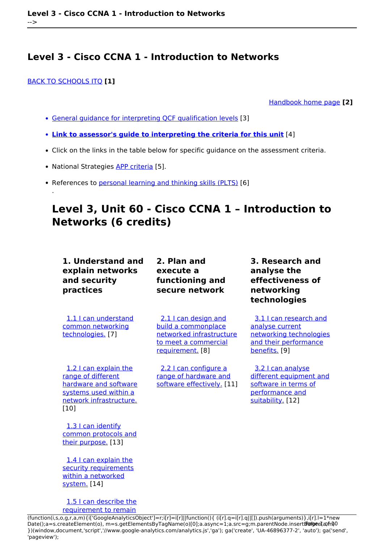#### [BACK TO SCHOOLS ITQ](https://theingots.org/community/ITQ_unit_development) **[1]**

.

[Handbook home page](https://theingots.org/community/handbook2) **[2]**

- [General guidance for interpreting QCF qualification levels](https://theingots.org/community/QCF_levels) [3]
- **[Link to assessor's guide to interpreting the criteria for this unit](https://theingots.org/community/SIL2U1X)** [4]
- Click on the links in the table below for specific guidance on the assessment criteria.
- National Strategies [APP criteria](http://nationalstrategies.standards.dcsf.gov.uk/focuses/959/861/110166) [5].
- References to [personal learning and thinking skills \(PLTS\)](http://curriculum.qcda.gov.uk/key-stages-3-and-4/skills/plts/planning-for-plts/index.aspx) [6]

# **Level 3, Unit 60 - Cisco CCNA 1 – Introduction to Networks (6 credits)**

| 1. Understand and<br>explain networks<br>and security<br>practices                                                                 | 2. Plan and<br>execute a<br>functioning and<br>secure network                                                       | 3. Research and<br>analyse the<br>effectiveness of<br>networking<br>technologies                               |
|------------------------------------------------------------------------------------------------------------------------------------|---------------------------------------------------------------------------------------------------------------------|----------------------------------------------------------------------------------------------------------------|
| 1.1 I can understand<br>common networking<br>technologies. [7]                                                                     | 2.1 I can design and<br>build a commonplace<br>networked infrastructure<br>to meet a commercial<br>requirement. [8] | 3.1 I can research and<br>analyse current<br>networking technologies<br>and their performance<br>benefits. [9] |
| 1.2 I can explain the<br>range of different<br>hardware and software<br>systems used within a<br>network infrastructure.<br>$[10]$ | 2.2 I can configure a<br>range of hardware and<br>software effectively. [11]                                        | 3.2 I can analyse<br>different equipment and<br>software in terms of<br>performance and<br>suitability. [12]   |
| 1.3 I can identify<br>common protocols and<br>their purpose. [13]                                                                  |                                                                                                                     |                                                                                                                |
| 1.4 I can explain the<br>security requirements                                                                                     |                                                                                                                     |                                                                                                                |

 [1.5 I can describe the](https://theingots.org/community/sil3u60x#1.5) [requirement to remain](https://theingots.org/community/sil3u60x#1.5)

[within a networked](https://theingots.org/community/sil3u60x#1.4)

[system.](https://theingots.org/community/sil3u60x#1.4) [14]

[\(function\(i,s,o,g,r,a,m\){i\['GoogleAnalyticsObject'\]=r;i\[r\]=i\[r\]||function\(\){ \(i\[r\].q=i\[r\].q||\[\]\).push\(arguments\)},i\[r\].l=1\\*new](https://theingots.org/community/sil3u60x#1.5) Date();a=s.createElement(o), m=s.getElementsByTagName(o)[0];a.async=1;a.src=g;m.parentNode.insert**Before**ຢຸ້*α*ງກົາ)0 [}\)\(window,document,'script','//www.google-analytics.com/analytics.js','ga'\); ga\('create', 'UA-46896377-2', 'auto'\); ga\('send',](https://theingots.org/community/sil3u60x#1.5) ['pageview'\);](https://theingots.org/community/sil3u60x#1.5)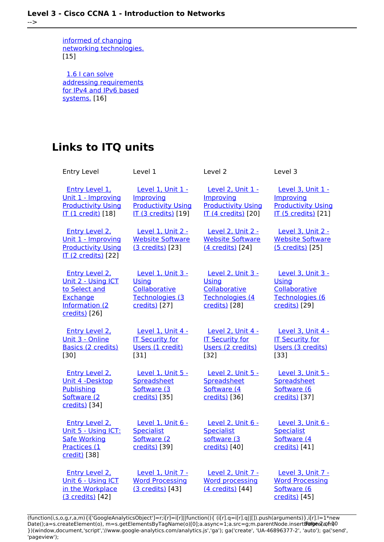[informed of changing](https://theingots.org/community/sil3u60x#1.5) [networking technologies.](https://theingots.org/community/sil3u60x#1.5) [15]

 [1.6 I can solve](https://theingots.org/community/sil3u60x#1.6) [addressing requirements](https://theingots.org/community/sil3u60x#1.6) [for IPv4 and IPv6 based](https://theingots.org/community/sil3u60x#1.6) [systems.](https://theingots.org/community/sil3u60x#1.6) [16]

# **Links to ITQ units**

| <b>Entry Level</b>                                                                                     | Level 1                                                                                   | Level <sub>2</sub>                                                                        | Level 3                                                                                   |
|--------------------------------------------------------------------------------------------------------|-------------------------------------------------------------------------------------------|-------------------------------------------------------------------------------------------|-------------------------------------------------------------------------------------------|
| <b>Entry Level 1.</b><br>Unit 1 - Improving<br><b>Productivity Using</b><br><b>IT (1 credit)</b> [18]  | Level 1, Unit 1 -<br>Improving<br><b>Productivity Using</b><br><b>IT (3 credits)</b> [19] | Level 2, Unit 1 -<br>Improving<br><b>Productivity Using</b><br><b>IT (4 credits)</b> [20] | Level 3, Unit 1 -<br>Improving<br><b>Productivity Using</b><br><b>IT (5 credits)</b> [21] |
| <b>Entry Level 2.</b><br>Unit 1 - Improving<br><b>Productivity Using</b><br><b>IT (2 credits)</b> [22] | Level 1, Unit 2 -<br><b>Website Software</b><br>(3 credits) [23]                          | Level 2, Unit 2 -<br><b>Website Software</b><br>(4 credits) [24]                          | Level 3, Unit 2 -<br><b>Website Software</b><br>(5 credits) [25]                          |
| Entry Level 2,<br>Unit 2 - Using ICT<br>to Select and<br>Exchange<br>Information (2<br>credits) [26]   | Level 1, Unit 3 -<br><b>Using</b><br>Collaborative<br>Technologies (3<br>credits) [27]    | Level 2, Unit 3 -<br><b>Using</b><br>Collaborative<br>Technologies (4<br>credits) [28]    | Level 3. Unit 3 -<br><b>Using</b><br>Collaborative<br>Technologies (6<br>credits) [29]    |
| <b>Entry Level 2,</b><br>Unit 3 - Online<br>Basics (2 credits)<br>[30]                                 | Level 1, Unit 4 -<br><b>IT Security for</b><br>Users (1 credit)<br>[31]                   | Level 2, Unit 4 -<br><b>IT Security for</b><br>Users (2 credits)<br>[32]                  | Level 3, Unit 4 -<br><b>IT Security for</b><br>Users (3 credits)<br>[33]                  |
| <b>Entry Level 2.</b><br>Unit 4 -Desktop<br>Publishing<br>Software (2)<br>credits) [34]                | Level 1, Unit 5 -<br>Spreadsheet<br>Software (3<br>credits) [35]                          | Level 2, Unit 5 -<br>Spreadsheet<br>Software (4<br>credits) [36]                          | Level 3, Unit 5 -<br>Spreadsheet<br>Software (6<br>credits) [37]                          |
| <b>Entry Level 2.</b><br>Unit 5 - Using ICT:<br><b>Safe Working</b><br>Practices (1<br>credit) [38]    | Level 1, Unit 6 -<br><b>Specialist</b><br>Software (2<br>credits) [39]                    | Level 2, Unit 6 -<br><b>Specialist</b><br>software (3<br>credits) [40]                    | Level 3, Unit 6 -<br><b>Specialist</b><br>Software (4<br>credits) [41]                    |
| Entry Level 2,<br>Unit 6 - Using ICT<br>in the Workplace<br>(3 credits) [42]                           | Level 1, Unit 7 -<br><b>Word Processing</b><br>(3 credits) [43]                           | Level 2, Unit 7 -<br><b>Word processing</b><br>(4 credits) [44]                           | Level 3. Unit 7 -<br><b>Word Processing</b><br>Software (6<br>credits) [45]               |

(function(i,s,o,g,r,a,m){i['GoogleAnalyticsObject']=r;i[r]=i[r]||function(){ (i[r].q=i[r].q||[]).push(arguments)},i[r].l=1\*new Date();a=s.createElement(o), m=s.getElementsByTagName(o)[0];a.async=1;a.src=g;m.parentNode.insert**Bෂ@e**ද?aກກ })(window,document,'script','//www.google-analytics.com/analytics.js','ga'); ga('create', 'UA-46896377-2', 'auto'); ga('send', 'pageview'); **Pagee?a**nfnl0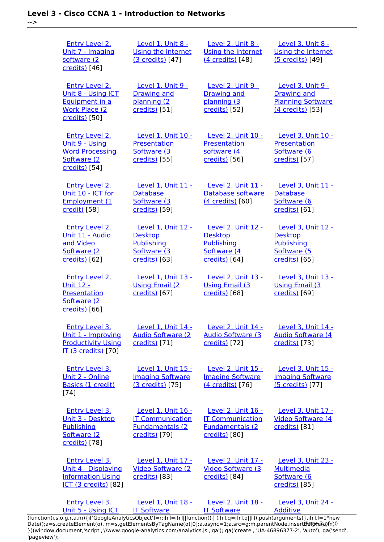-->

| <b>Entry Level 2.</b><br>Unit 7 - Imaging<br>software (2<br>credits) [46]                               | <b>Level 1, Unit 8 -</b><br><b>Using the Internet</b><br>(3 credits) [47]                 | <b>Level 2, Unit 8 -</b><br>Using the internet<br>(4 credits) [48]                        | Level 3, Unit 8 -<br><b>Using the Internet</b><br>(5 credits) [49]                             |
|---------------------------------------------------------------------------------------------------------|-------------------------------------------------------------------------------------------|-------------------------------------------------------------------------------------------|------------------------------------------------------------------------------------------------|
| <b>Entry Level 2.</b><br>Unit 8 - Using ICT<br>Equipment in a<br><b>Work Place (2)</b><br>credits) [50] | <b>Level 1, Unit 9 -</b><br><b>Drawing and</b><br>planning (2<br>credits) [51]            | <b>Level 2, Unit 9 -</b><br><b>Drawing and</b><br>planning (3<br>credits) [52]            | <b>Level 3, Unit 9 -</b><br><b>Drawing and</b><br><b>Planning Software</b><br>(4 credits) [53] |
| Entry Level 2.<br>Unit 9 - Using<br><b>Word Processing</b><br>Software (2)<br>credits) [54]             | Level 1, Unit 10 -<br>Presentation<br>Software (3<br>credits) [55]                        | <b>Level 2. Unit 10 -</b><br>Presentation<br>software (4<br>credits) [56]                 | Level 3, Unit 10 -<br>Presentation<br>Software (6<br>credits) [57]                             |
| <b>Entry Level 2.</b><br>Unit 10 - ICT for<br><b>Employment (1</b><br>credit) [58]                      | Level 1, Unit 11 -<br><b>Database</b><br>Software (3<br>credits) [59]                     | <b>Level 2, Unit 11 -</b><br>Database software<br>(4 credits) [60]                        | Level 3, Unit 11 -<br><b>Database</b><br>Software (6<br>credits) [61]                          |
| <b>Entry Level 2.</b><br>Unit 11 - Audio<br>and Video<br>Software (2<br>credits) [62]                   | Level 1, Unit 12 -<br><b>Desktop</b><br>Publishing<br>Software (3<br>credits) [63]        | <b>Level 2, Unit 12 -</b><br><b>Desktop</b><br>Publishing<br>Software (4<br>credits) [64] | <b>Level 3, Unit 12 -</b><br><b>Desktop</b><br>Publishing<br>Software (5<br>credits) [65]      |
| Entry Level 2.<br><b>Unit 12 -</b><br>Presentation<br>Software (2)<br>credits) [66]                     | Level 1. Unit 13 -<br><b>Using Email (2)</b><br>credits) [67]                             | Level 2, Unit 13 -<br><b>Using Email (3)</b><br>credits) [68]                             | Level 3. Unit 13 -<br><b>Using Email (3)</b><br>credits) [69]                                  |
| <b>Entry Level 3.</b><br>Unit 1 - Improving<br><b>Productivity Using</b><br><b>IT (3 credits)</b> [70]  | Level 1, Unit 14 -<br><b>Audio Software (2)</b><br>credits) [71]                          | Level 2, Unit 14 -<br><b>Audio Software (3)</b><br>credits) [72]                          | Level 3, Unit 14 -<br><b>Audio Software (4)</b><br>credits) [73]                               |
| Entry Level 3,<br>Unit 2 - Online<br>Basics (1 credit)<br>$[74]$                                        | Level 1. Unit 15 -<br><b>Imaging Software</b><br>(3 credits) [75]                         | <b>Level 2. Unit 15 -</b><br><b>Imaging Software</b><br>(4 credits) [76]                  | Level 3. Unit 15 -<br><b>Imaging Software</b><br>(5 credits) [77]                              |
| <b>Entry Level 3.</b><br>Unit 3 - Desktop<br>Publishing<br>Software (2)<br>credits) [78]                | Level 1, Unit 16 -<br><b>IT Communication</b><br><b>Fundamentals (2)</b><br>credits) [79] | Level 2, Unit 16 -<br><b>IT Communication</b><br><b>Fundamentals (2)</b><br>credits) [80] | Level 3, Unit 17 -<br>Video Software (4<br>credits) [81]                                       |
| <b>Entry Level 3.</b><br>Unit 4 - Displaying<br><b>Information Using</b><br>ICT (3 credits) [82]        | Level 1, Unit 17 -<br><b>Video Software (2)</b><br>credits) [83]                          | <b>Level 2, Unit 17 -</b><br><b>Video Software (3)</b><br>credits) [84]                   | <b>Level 3, Unit 23 -</b><br><b>Multimedia</b><br>Software (6<br>credits) [85]                 |
| <b>Entry Level 3.</b><br>Unit 5 - Using ICT                                                             | Level 1, Unit 18 -<br><b>IT Software</b>                                                  | Level 2, Unit 18 -<br><b>IT Software</b>                                                  | <b>Level 3, Unit 24 -</b><br><b>Additive</b>                                                   |

[\(function\(i,s,o,g,r,a,m\){i\['GoogleAnalyticsObject'\]=r;i\[r\]=i\[r\]||function\(\){ \(i\[r\].q=i\[r\].q||\[\]\).push\(arguments\)},i\[r\].l=1\\*new](https://theingots.org/community/siel3u5) Date();a=s.createElement(o), m=s.getElementsByTagName(o)[0];a.async=1;a.src=g;m.parentNode.insert**Before**??aภm [}\)\(window,document,'script','//www.google-analytics.com/analytics.js','ga'\); ga\('create', 'UA-46896377-2', 'auto'\); ga\('send',](https://theingots.org/community/siel3u5) ['pageview'\);](https://theingots.org/community/siel3u5) **Page**e}anfnl0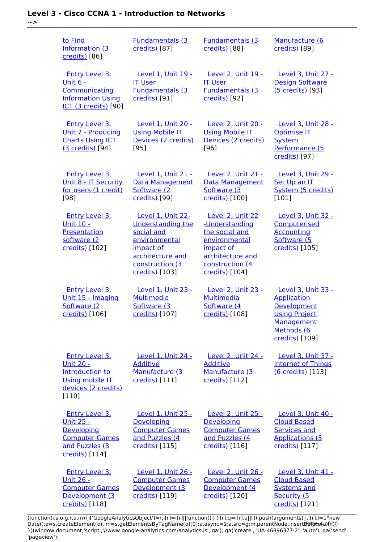-->

| to Find<br>Information (3)<br>credits) [86]                                                                               | <b>Fundamentals (3)</b><br>credits) [87]                                                                                                                  | <b>Fundamentals (3)</b><br>credits) [88]                                                                                                    | Manufacture (6<br>credits) [89]                                                                                               |
|---------------------------------------------------------------------------------------------------------------------------|-----------------------------------------------------------------------------------------------------------------------------------------------------------|---------------------------------------------------------------------------------------------------------------------------------------------|-------------------------------------------------------------------------------------------------------------------------------|
| <b>Entry Level 3.</b><br><u>Unit 6 -</u><br>Communicating<br><b>Information Using</b><br>ICT (3 credits) [90]             | Level 1, Unit 19 -<br><b>IT User</b><br><b>Fundamentals (3)</b><br>credits) [91]                                                                          | <b>Level 2, Unit 19 -</b><br><b>IT User</b><br><b>Fundamentals (3)</b><br>credits) [92]                                                     | Level 3, Unit 27 -<br><b>Design Software</b><br>(5 credits) [93]                                                              |
| <b>Entry Level 3.</b><br>Unit 7 - Producing<br><b>Charts Using ICT</b><br>(3 credits) [94]                                | Level 1, Unit 20 -<br><b>Using Mobile IT</b><br>Devices (2 credits)<br>$[95]$                                                                             | Level 2, Unit 20 -<br><b>Using Mobile IT</b><br>Devices (2 credits)<br>[96]                                                                 | Level 3, Unit 28 -<br>Optimise IT<br><b>System</b><br>Performance (5<br>credits) [97]                                         |
| <b>Entry Level 3.</b><br>Unit 8 - IT Security<br>for users (1 credit)<br>$[98]$                                           | Level 1, Unit 21 -<br><b>Data Management</b><br>Software (2<br>credits) [99]                                                                              | Level 2. Unit 21 -<br><b>Data Management</b><br>Software (3)<br>credits) [100]                                                              | Level 3, Unit 29 -<br>Set Up an IT<br>System (5 credits)<br>[101]                                                             |
| <b>Entry Level 3.</b><br><b>Unit 10 -</b><br>Presentation<br>software (2<br>credits) [102]                                | <b>Level 1, Unit 22-</b><br><b>Understanding the</b><br>social and<br>environmental<br>impact of<br>architecture and<br>construction (3<br>credits) [103] | Level 2, Unit 22<br>-Understanding<br>the social and<br>environmental<br>impact of<br>architecture and<br>construction (4<br>credits) [104] | Level 3, Unit 32 -<br>Computerised<br><b>Accounting</b><br>Software (5<br>credits) [105]                                      |
| <b>Entry Level 3.</b><br>Unit 15 - Imaging<br>Software (2<br>credits) [106]                                               | Level 1, Unit 23 -<br><b>Multimedia</b><br>Software (3<br>credits) [107]                                                                                  | <b>Level 2, Unit 23 -</b><br><b>Multimedia</b><br>Software (4)<br>credits) [108]                                                            | Level 3, Unit 33 -<br><b>Application</b><br>Development<br><b>Using Project</b><br>Management<br>Methods (6<br>credits) [109] |
| <b>Entry Level 3.</b><br><u> Unit 20 -</u><br>Introduction to<br><b>Using mobile IT</b><br>devices (2 credits)<br>$[110]$ | Level 1, Unit 24 -<br><b>Additive</b><br>Manufacture (3<br>credits) [111]                                                                                 | <b>Level 2, Unit 24 -</b><br><b>Additive</b><br>Manufacture (3<br>credits) [112]                                                            | Level 3, Unit 37 -<br><b>Internet of Things</b><br>(6 credits) [113]                                                          |
| <b>Entry Level 3.</b><br><u> Unit 25 -</u><br>Developing<br><b>Computer Games</b><br>and Puzzles (3<br>credits) [114]     | Level 1, Unit 25 -<br><b>Developing</b><br><b>Computer Games</b><br>and Puzzles (4<br>credits) [115]                                                      | <b>Level 2, Unit 25 -</b><br><b>Developing</b><br><b>Computer Games</b><br>and Puzzles (4<br>credits) [116]                                 | Level 3, Unit 40 -<br><b>Cloud Based</b><br><b>Services and</b><br><b>Applications (5</b><br>credits) [117]                   |
| Entry Level 3.<br><u> Unit 26 -</u><br><b>Computer Games</b><br>Development (3                                            | Level 1, Unit 26 -<br><b>Computer Games</b><br>Development (3<br>credits) [119]                                                                           | Level 2. Unit 26 -<br><b>Computer Games</b><br>Development (4<br>credits) [120]                                                             | Level 3. Unit 41 -<br><b>Cloud Based</b><br><b>Systems and</b><br>Security (5                                                 |

(function(i,s,o,g,r,a,m){i['GoogleAnalyticsObject']=r;i[r]=i[r]||function(){ (i[r].q=i[r].q||[]).push(arguments)},i[r].l=1\*new Date();a=s.createElement(o), m=s.getElementsByTagName(o)[0];a.async=1;a.src=g;m.parentNode.insert**Bෂ@ee{**aንከቅ })(window,document,'script','//www.google-analytics.com/analytics.js','ga'); ga('create', 'UA-46896377-2', 'auto'); ga('send', 'pageview'); Page 4 of 10

[credits\)](https://theingots.org/community/sil3u41) [121]

[credits\)](https://theingots.org/community/siel3u26) [118]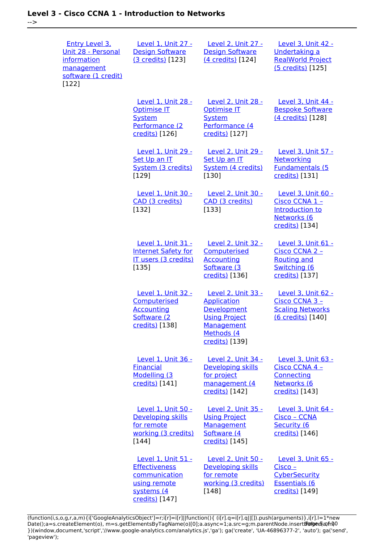| <b>Entry Level 3.</b><br>Unit 28 - Personal<br>information<br>management<br>software (1 credit)<br>[122] | Level 1, Unit 27 -<br><b>Design Software</b><br>(3 credits) [123]                                                  | Level 2, Unit 27 -<br><b>Design Software</b><br>(4 credits) [124]                                                             | Level 3, Unit 42 -<br>Undertaking a<br><b>RealWorld Project</b><br>(5 credits) [125]         |
|----------------------------------------------------------------------------------------------------------|--------------------------------------------------------------------------------------------------------------------|-------------------------------------------------------------------------------------------------------------------------------|----------------------------------------------------------------------------------------------|
|                                                                                                          | Level 1, Unit 28 -<br><b>Optimise IT</b><br><b>System</b><br>Performance (2<br>credits) [126]                      | Level 2, Unit 28 -<br><b>Optimise IT</b><br><b>System</b><br>Performance (4<br>credits) [127]                                 | Level 3. Unit 44 -<br><b>Bespoke Software</b><br>(4 credits) [128]                           |
|                                                                                                          | <b>Level 1, Unit 29 -</b><br>Set Up an IT<br>System (3 credits)<br>[129]                                           | <b>Level 2, Unit 29 -</b><br>Set Up an IT<br>System (4 credits)<br>[130]                                                      | Level 3, Unit 57 -<br>Networking<br><b>Fundamentals (5</b><br>credits) [131]                 |
|                                                                                                          | Level 1, Unit 30 -<br>CAD (3 credits)<br>[132]                                                                     | <b>Level 2, Unit 30 -</b><br>CAD (3 credits)<br>[133]                                                                         | Level 3, Unit 60 -<br>Cisco CCNA 1 -<br>Introduction to<br>Networks (6<br>credits) [134]     |
|                                                                                                          | <b>Level 1. Unit 31 -</b><br><b>Internet Safety for</b><br>IT users (3 credits)<br>[135]                           | <b>Level 2. Unit 32 -</b><br>Computerised<br><b>Accounting</b><br>Software (3)<br>credits) [136]                              | Level 3. Unit 61 -<br>Cisco CCNA 2 -<br><b>Routing and</b><br>Switching (6<br>credits) [137] |
|                                                                                                          | Level 1, Unit 32 -<br>Computerised<br><b>Accounting</b><br>Software (2<br>credits) [138]                           | Level 2, Unit 33 -<br><b>Application</b><br>Development<br><b>Using Project</b><br>Management<br>Methods (4<br>credits) [139] | Level 3, Unit 62 -<br>Cisco CCNA 3 -<br><b>Scaling Networks</b><br>(6 credits) [140]         |
|                                                                                                          | Level 1. Unit 36 -<br><b>Financial</b><br>Modelling (3<br>credits) [141]                                           | <b>Level 2. Unit 34 -</b><br>Developing skills<br>for project<br>management (4<br>credits) [142]                              | Level 3. Unit 63 -<br>Cisco CCNA 4 -<br>Connecting<br>Networks (6<br>credits) [143]          |
|                                                                                                          | Level 1, Unit 50 -<br>Developing skills<br>for remote<br>working (3 credits)<br>$[144]$                            | Level 2, Unit 35 -<br><b>Using Project</b><br>Management<br>Software (4<br>credits) [145]                                     | Level 3, Unit 64 -<br>Cisco - CCNA<br>Security (6<br>credits) [146]                          |
|                                                                                                          | <b>Level 1, Unit 51 -</b><br><b>Effectiveness</b><br>communication<br>using remote<br>systems (4<br>credits) [147] | <b>Level 2, Unit 50 -</b><br>Developing skills<br>for remote<br>working (3 credits)<br>[148]                                  | Level 3, Unit 65 -<br>$Cisco -$<br>CyberSecurity<br><b>Essentials (6</b><br>credits) [149]   |

(function(i,s,o,g,r,a,m){i['GoogleAnalyticsObject']=r;i[r]=i[r]||function(){ (i[r].q=i[r].q||[]).push(arguments)},i[r].l=1\*new Date();a=s.createElement(o), m=s.getElementsByTagName(o)[0];a.async=1;a.src=g;m.parentNode.insert**Before**e(a,m) })(window,document,'script','//www.google-analytics.com/analytics.js','ga'); ga('create', 'UA-46896377-2', 'auto'); ga('send', 'pageview'); Pagoreda, fnl)0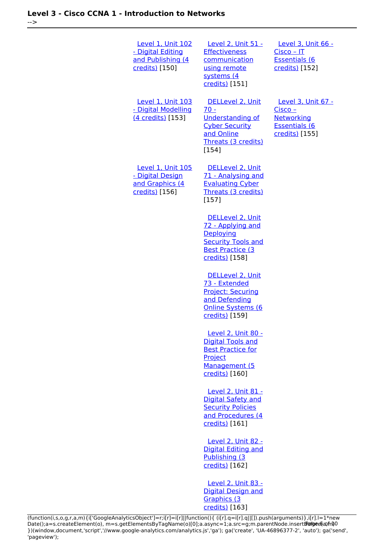| <b>Level 1, Unit 102</b><br>- Digital Editing<br>and Publishing (4<br>credits) [150] | Level 2, Unit 51 -<br><b>Effectiveness</b><br>communication<br>using remote<br>systems (4<br>credits) [151]                   | Level 3, Unit 66 -<br>$Cisco - IT$<br><b>Essentials (6</b><br>credits) [152]                   |
|--------------------------------------------------------------------------------------|-------------------------------------------------------------------------------------------------------------------------------|------------------------------------------------------------------------------------------------|
| <b>Level 1. Unit 103</b><br>- Digital Modelling<br>(4 credits) [153]                 | DELLevel 2. Unit<br>$70 -$<br><b>Understanding of</b><br><b>Cyber Security</b><br>and Online<br>Threats (3 credits)<br>[154]  | <b>Level 3. Unit 67 -</b><br>$Cisco -$<br>Networking<br><b>Essentials (6</b><br>credits) [155] |
| <b>Level 1, Unit 105</b><br>- Digital Design<br>and Graphics (4<br>credits) [156]    | DELLevel 2, Unit<br>71 - Analysing and<br><b>Evaluating Cyber</b><br>Threats (3 credits)<br>$[157]$                           |                                                                                                |
|                                                                                      | DELLevel 2, Unit<br>72 - Applying and<br>Deploying<br><b>Security Tools and</b><br><b>Best Practice (3)</b><br>credits) [158] |                                                                                                |
|                                                                                      | DELLevel 2, Unit<br>73 - Extended<br><b>Project: Securing</b><br>and Defending<br>Online Systems (6<br>credits) [159]         |                                                                                                |
|                                                                                      | Level 2, Unit 80 -<br><b>Digital Tools and</b><br><b>Best Practice for</b><br>Project<br>Management (5<br>credits) [160]      |                                                                                                |
|                                                                                      | Level 2, Unit 81 -<br><b>Digital Safety and</b><br><b>Security Policies</b><br>and Procedures (4<br>credits) [161]            |                                                                                                |
|                                                                                      | Level 2, Unit 82 -<br><b>Digital Editing and</b><br>Publishing (3)<br>credits) [162]                                          |                                                                                                |
|                                                                                      | <b>Level 2, Unit 83 -</b><br><b>Digital Design and</b><br>Graphics (3<br>credits) [163]                                       |                                                                                                |

(function(i,s,o,g,r,a,m){i['GoogleAnalyticsObject']=r;i[r]=i[r]||function(){ (i[r].q=i[r].q||[]).push(arguments)},i[r].l=1\*new Date();a=s.createElement(o), m=s.getElementsByTagName(o)[0];a.async=1;a.src=g;m.parentNode.insert**Before**e(a,m) })(window,document,'script','//www.google-analytics.com/analytics.js','ga'); ga('create', 'UA-46896377-2', 'auto'); ga('send', 'pageview'); Paggree@apfnl)0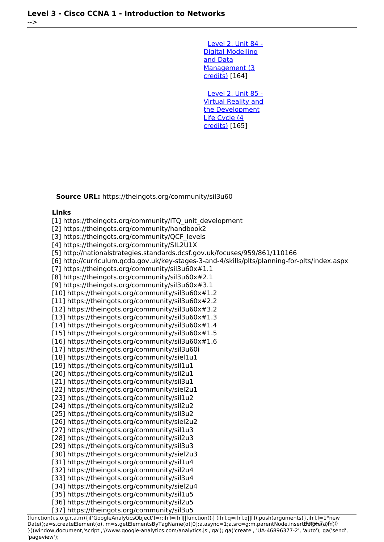[Level 2, Unit 84 -](https://theingots.org/community/sil2u84) [Digital Modelling](https://theingots.org/community/sil2u84) [and Data](https://theingots.org/community/sil2u84) [Management \(3](https://theingots.org/community/sil2u84) [credits\)](https://theingots.org/community/sil2u84) [164]

 [Level 2, Unit 85 -](https://theingots.org/community/sil2u85) [Virtual Reality and](https://theingots.org/community/sil2u85) [the Development](https://theingots.org/community/sil2u85) [Life Cycle \(4](https://theingots.org/community/sil2u85) [credits\)](https://theingots.org/community/sil2u85) [165]

**Source URL:** https://theingots.org/community/sil3u60

#### **Links**

[1] https://theingots.org/community/ITQ\_unit\_development [2] https://theingots.org/community/handbook2 [3] https://theingots.org/community/OCF\_levels [4] https://theingots.org/community/SIL2U1X [5] http://nationalstrategies.standards.dcsf.gov.uk/focuses/959/861/110166 [6] http://curriculum.qcda.gov.uk/key-stages-3-and-4/skills/plts/planning-for-plts/index.aspx [7] https://theingots.org/community/sil3u60x#1.1 [8] https://theingots.org/community/sil3u60x#2.1 [9] https://theingots.org/community/sil3u60x#3.1 [10] https://theingots.org/community/sil3u60x#1.2 [11] https://theingots.org/community/sil3u60x#2.2 [12] https://theingots.org/community/sil3u60x#3.2 [13] https://theingots.org/community/sil3u60x#1.3 [14] https://theingots.org/community/sil3u60x#1.4 [15] https://theingots.org/community/sil3u60x#1.5 [16] https://theingots.org/community/sil3u60x#1.6 [17] https://theingots.org/community/sil3u60i [18] https://theingots.org/community/siel1u1 [19] https://theingots.org/community/sil1u1 [20] https://theingots.org/community/sil2u1 [21] https://theingots.org/community/sil3u1 [22] https://theingots.org/community/siel2u1 [23] https://theingots.org/community/sil1u2 [24] https://theingots.org/community/sil2u2 [25] https://theingots.org/community/sil3u2 [26] https://theingots.org/community/siel2u2 [27] https://theingots.org/community/sil1u3 [28] https://theingots.org/community/sil2u3 [29] https://theingots.org/community/sil3u3 [30] https://theingots.org/community/siel2u3 [31] https://theingots.org/community/sil1u4 [32] https://theingots.org/community/sil2u4 [33] https://theingots.org/community/sil3u4 [34] https://theingots.org/community/siel2u4 [35] https://theingots.org/community/sil1u5 [36] https://theingots.org/community/sil2u5 [37] https://theingots.org/community/sil3u5

(function(i,s,o,g,r,a,m){i['GoogleAnalyticsObject']=r;i[r]=i[r]||function(){ (i[r].q=i[r].q||[]).push(arguments)},i[r].l=1\*new Date();a=s.createElement(o), m=s.getElementsByTagName(o)[0];a.async=1;a.src=g;m.parentNode.insert**Before**(apfn)0 })(window,document,'script','//www.google-analytics.com/analytics.js','ga'); ga('create', 'UA-46896377-2', 'auto'); ga('send', 'pageview');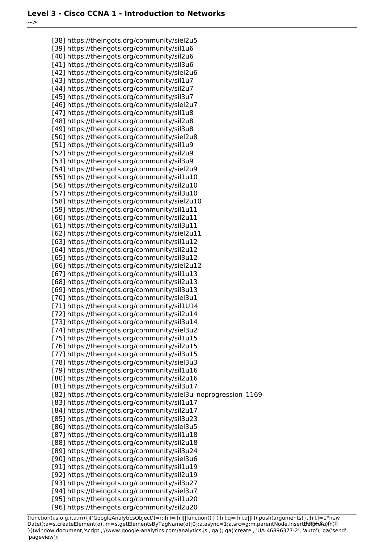-->

[38] https://theingots.org/community/siel2u5 [39] https://theingots.org/community/sil1u6 [40] https://theingots.org/community/sil2u6 [41] https://theingots.org/community/sil3u6 [42] https://theingots.org/community/siel2u6 [43] https://theingots.org/community/sil1u7 [44] https://theingots.org/community/sil2u7 [45] https://theingots.org/community/sil3u7 [46] https://theingots.org/community/siel2u7 [47] https://theingots.org/community/sil1u8 [48] https://theingots.org/community/sil2u8 [49] https://theingots.org/community/sil3u8 [50] https://theingots.org/community/siel2u8 [51] https://theingots.org/community/sil1u9 [52] https://theingots.org/community/sil2u9 [53] https://theingots.org/community/sil3u9 [54] https://theingots.org/community/siel2u9 [55] https://theingots.org/community/sil1u10 [56] https://theingots.org/community/sil2u10 [57] https://theingots.org/community/sil3u10 [58] https://theingots.org/community/siel2u10 [59] https://theingots.org/community/sil1u11 [60] https://theingots.org/community/sil2u11 [61] https://theingots.org/community/sil3u11 [62] https://theingots.org/community/siel2u11 [63] https://theingots.org/community/sil1u12 [64] https://theingots.org/community/sil2u12 [65] https://theingots.org/community/sil3u12 [66] https://theingots.org/community/siel2u12 [67] https://theingots.org/community/sil1u13 [68] https://theingots.org/community/sil2u13 [69] https://theingots.org/community/sil3u13 [70] https://theingots.org/community/siel3u1 [71] https://theingots.org/community/sil1U14 [72] https://theingots.org/community/sil2u14 [73] https://theingots.org/community/sil3u14 [74] https://theingots.org/community/siel3u2 [75] https://theingots.org/community/sil1u15 [76] https://theingots.org/community/sil2u15 [77] https://theingots.org/community/sil3u15 [78] https://theingots.org/community/siel3u3 [79] https://theingots.org/community/sil1u16 [80] https://theingots.org/community/sil2u16 [81] https://theingots.org/community/sil3u17 [82] https://theingots.org/community/siel3u\_noprogression\_1169 [83] https://theingots.org/community/sil1u17 [84] https://theingots.org/community/sil2u17 [85] https://theingots.org/community/sil3u23 [86] https://theingots.org/community/siel3u5 [87] https://theingots.org/community/sil1u18 [88] https://theingots.org/community/sil2u18 [89] https://theingots.org/community/sil3u24 [90] https://theingots.org/community/siel3u6 [91] https://theingots.org/community/sil1u19 [92] https://theingots.org/community/sil2u19 [93] https://theingots.org/community/sil3u27 [94] https://theingots.org/community/siel3u7 [95] https://theingots.org/community/sil1u20

[96] https://theingots.org/community/sil2u20

(function(i,s,o,g,r,a,m){i['GoogleAnalyticsObject']=r;i[r]=i[r]||function(){ (i[r].q=i[r].q||[]).push(arguments)},i[r].l=1\*new Date();a=s.createElement(o), m=s.getElementsByTagName(o)[0];a.async=1;a.src=g;m.parentNode.insert**Bෂ@e**&aภ*f*ii)0 })(window,document,'script','//www.google-analytics.com/analytics.js','ga'); ga('create', 'UA-46896377-2', 'auto'); ga('send', 'pageview');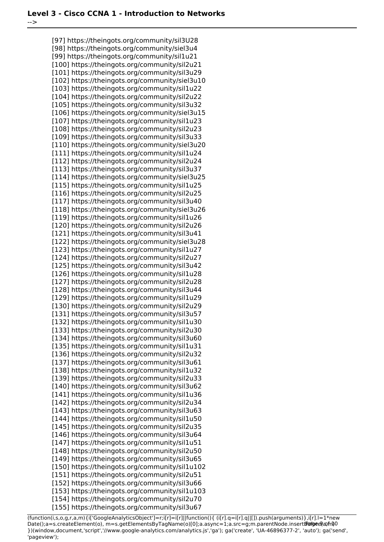-->

[97] https://theingots.org/community/sil3U28 [98] https://theingots.org/community/siel3u4 [99] https://theingots.org/community/sil1u21 [100] https://theingots.org/community/sil2u21 [101] https://theingots.org/community/sil3u29 [102] https://theingots.org/community/siel3u10 [103] https://theingots.org/community/sil1u22 [104] https://theingots.org/community/sil2u22 [105] https://theingots.org/community/sil3u32 [106] https://theingots.org/community/siel3u15 [107] https://theingots.org/community/sil1u23 [108] https://theingots.org/community/sil2u23 [109] https://theingots.org/community/sil3u33 [110] https://theingots.org/community/siel3u20 [111] https://theingots.org/community/sil1u24 [112] https://theingots.org/community/sil2u24 [113] https://theingots.org/community/sil3u37 [114] https://theingots.org/community/siel3u25 [115] https://theingots.org/community/sil1u25 [116] https://theingots.org/community/sil2u25 [117] https://theingots.org/community/sil3u40 [118] https://theingots.org/community/siel3u26 [119] https://theingots.org/community/sil1u26 [120] https://theingots.org/community/sil2u26 [121] https://theingots.org/community/sil3u41 [122] https://theingots.org/community/siel3u28 [123] https://theingots.org/community/sil1u27 [124] https://theingots.org/community/sil2u27 [125] https://theingots.org/community/sil3u42 [126] https://theingots.org/community/sil1u28 [127] https://theingots.org/community/sil2u28 [128] https://theingots.org/community/sil3u44 [129] https://theingots.org/community/sil1u29 [130] https://theingots.org/community/sil2u29 [131] https://theingots.org/community/sil3u57 [132] https://theingots.org/community/sil1u30 [133] https://theingots.org/community/sil2u30 [134] https://theingots.org/community/sil3u60 [135] https://theingots.org/community/sil1u31 [136] https://theingots.org/community/sil2u32 [137] https://theingots.org/community/sil3u61 [138] https://theingots.org/community/sil1u32 [139] https://theingots.org/community/sil2u33 [140] https://theingots.org/community/sil3u62 [141] https://theingots.org/community/sil1u36 [142] https://theingots.org/community/sil2u34 [143] https://theingots.org/community/sil3u63 [144] https://theingots.org/community/sil1u50 [145] https://theingots.org/community/sil2u35 [146] https://theingots.org/community/sil3u64 [147] https://theingots.org/community/sil1u51 [148] https://theingots.org/community/sil2u50 [149] https://theingots.org/community/sil3u65 [150] https://theingots.org/community/sil1u102 [151] https://theingots.org/community/sil2u51 [152] https://theingots.org/community/sil3u66 [153] https://theingots.org/community/sil1u103 [154] https://theingots.org/community/sil2u70 [155] https://theingots.org/community/sil3u67

(function(i,s,o,g,r,a,m){i['GoogleAnalyticsObject']=r;i[r]=i[r]||function(){ (i[r].q=i[r].q||[]).push(arguments)},i[r].l=1\*new Date();a=s.createElement(o), m=s.getElementsByTagName(o)[0];a.async=1;a.src=g;m.parentNode.insert**Bෂ@e**ේ ආከ $\emptyset$ 0 })(window,document,'script','//www.google-analytics.com/analytics.js','ga'); ga('create', 'UA-46896377-2', 'auto'); ga('send', 'pageview');